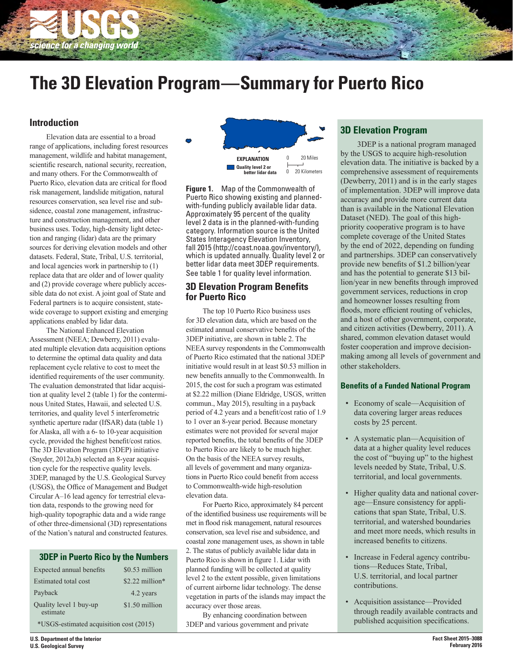

# **The 3D Elevation Program—Summary for Puerto Rico**

# **Introduction**

Elevation data are essential to a broad range of applications, including forest resources management, wildlife and habitat management, scientific research, national security, recreation, and many others. For the Commonwealth of Puerto Rico, elevation data are critical for flood risk management, landslide mitigation, natural resources conservation, sea level rise and subsidence, coastal zone management, infrastructure and construction management, and other business uses. Today, high-density light detection and ranging (lidar) data are the primary sources for deriving elevation models and other datasets. Federal, State, Tribal, U.S. territorial, and local agencies work in partnership to (1) replace data that are older and of lower quality and (2) provide coverage where publicly accessible data do not exist. A joint goal of State and Federal partners is to acquire consistent, statewide coverage to support existing and emerging applications enabled by lidar data.

The National Enhanced Elevation Assessment (NEEA; Dewberry, 2011) evaluated multiple elevation data acquisition options to determine the optimal data quality and data replacement cycle relative to cost to meet the identified requirements of the user community. The evaluation demonstrated that lidar acquisition at quality level 2 (table 1) for the conterminous United States, Hawaii, and selected U.S. territories, and quality level 5 interferometric synthetic aperture radar (IfSAR) data (table 1) for Alaska, all with a 6- to 10-year acquisition cycle, provided the highest benefit/cost ratios. The 3D Elevation Program (3DEP) initiative (Snyder, 2012a,b) selected an 8-year acquisition cycle for the respective quality levels. 3DEP, managed by the U.S. Geological Survey (USGS), the Office of Management and Budget Circular A-16 lead agency for terrestrial elevation data, responds to the growing need for high-quality topographic data and a wide range of other three-dimensional (3D) representations of the Nation's natural and constructed features.

## **3DEP in Puerto Rico by the Numbers**

| Expected annual benefits                | \$0.53 million   |  |
|-----------------------------------------|------------------|--|
| Estimated total cost                    | $$2.22$ million* |  |
| Payback                                 | 4.2 years        |  |
| Quality level 1 buy-up<br>estimate      | \$1.50 million   |  |
| *USGS-estimated acquisition cost (2015) |                  |  |



**Figure 1.** Map of the Commonwealth of Puerto Rico showing existing and plannedwith-funding publicly available lidar data. Approximately 95 percent of the quality level 2 data is in the planned-with-funding category. Information source is the United States Interagency Elevation Inventory, fall 2015 (http://coast.noaa.gov/inventory/), which is updated annually. Quality level 2 or better lidar data meet 3DEP requirements. See table 1 for quality level information.

## **3D Elevation Program Benefits for Puerto Rico**

The top 10 Puerto Rico business uses for 3D elevation data, which are based on the estimated annual conservative benefits of the 3DEP initiative, are shown in table 2. The NEEA survey respondents in the Commonwealth of Puerto Rico estimated that the national 3DEP initiative would result in at least \$0.53 million in new benefits annually to the Commonwealth. In 2015, the cost for such a program was estimated at \$2.22 million (Diane Eldridge, USGS, written commun., May 2015), resulting in a payback period of 4.2 years and a benefit/cost ratio of 1.9 to 1 over an 8-year period. Because monetary estimates were not provided for several major reported benefits, the total benefits of the 3DEP to Puerto Rico are likely to be much higher. On the basis of the NEEA survey results, all levels of government and many organizations in Puerto Rico could benefit from access to Commonwealth-wide high-resolution elevation data.

For Puerto Rico, approximately 84 percent of the identified business use requirements will be met in flood risk management, natural resources conservation, sea level rise and subsidence, and coastal zone management uses, as shown in table 2. The status of publicly available lidar data in Puerto Rico is shown in figure 1. Lidar with planned funding will be collected at quality level 2 to the extent possible, given limitations of current airborne lidar technology. The dense vegetation in parts of the islands may impact the accuracy over those areas.

By enhancing coordination between 3DEP and various government and private

## **3D Elevation Program**

3DEP is a national program managed by the USGS to acquire high-resolution elevation data. The initiative is backed by a comprehensive assessment of requirements (Dewberry, 2011) and is in the early stages of implementation. 3DEP will improve data accuracy and provide more current data than is available in the National Elevation Dataset (NED). The goal of this highpriority cooperative program is to have complete coverage of the United States by the end of 2022, depending on funding and partnerships. 3DEP can conservatively provide new benefits of \$1.2 billion/year and has the potential to generate \$13 billion/year in new benefits through improved government services, reductions in crop and homeowner losses resulting from floods, more efficient routing of vehicles, and a host of other government, corporate, and citizen activities (Dewberry, 2011). A shared, common elevation dataset would foster cooperation and improve decisionmaking among all levels of government and other stakeholders.

#### **Benefits of a Funded National Program**

- Economy of scale—Acquisition of data covering larger areas reduces costs by 25 percent.
- A systematic plan—Acquisition of data at a higher quality level reduces the cost of "buying up" to the highest levels needed by State, Tribal, U.S. territorial, and local governments.
- Higher quality data and national coverage—Ensure consistency for applications that span State, Tribal, U.S. territorial, and watershed boundaries and meet more needs, which results in increased benefits to citizens.
- Increase in Federal agency contributions—Reduces State, Tribal, U.S. territorial, and local partner contributions.
- Acquisition assistance—Provided through readily available contracts and published acquisition specifications.